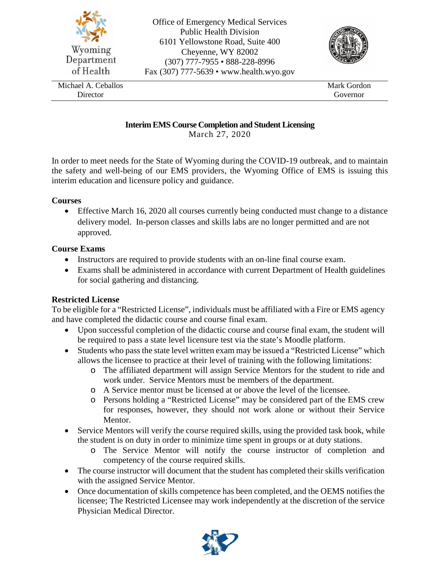

## **Interim EMS Course Completion and Student Licensing**

March 27, 2020

In order to meet needs for the State of Wyoming during the COVID-19 outbreak, and to maintain the safety and well-being of our EMS providers, the Wyoming Office of EMS is issuing this interim education and licensure policy and guidance.

### **Courses**

• Effective March 16, 2020 all courses currently being conducted must change to a distance delivery model. In-person classes and skills labs are no longer permitted and are not approved.

### **Course Exams**

- Instructors are required to provide students with an on-line final course exam.
- Exams shall be administered in accordance with current Department of Health guidelines for social gathering and distancing.

# **Restricted License**

To be eligible for a "Restricted License", individuals must be affiliated with a Fire or EMS agency and have completed the didactic course and course final exam.

- Upon successful completion of the didactic course and course final exam, the student will be required to pass a state level licensure test via the state's Moodle platform.
- Students who pass the state level written exam may be issued a "Restricted License" which allows the licensee to practice at their level of training with the following limitations:
	- o The affiliated department will assign Service Mentors for the student to ride and work under. Service Mentors must be members of the department.
	- o A Service mentor must be licensed at or above the level of the licensee.
	- o Persons holding a "Restricted License" may be considered part of the EMS crew for responses, however, they should not work alone or without their Service Mentor.
- Service Mentors will verify the course required skills, using the provided task book, while the student is on duty in order to minimize time spent in groups or at duty stations.
	- o The Service Mentor will notify the course instructor of completion and competency of the course required skills.
- The course instructor will document that the student has completed their skills verification with the assigned Service Mentor.
- Once documentation of skills competence has been completed, and the OEMS notifies the licensee; The Restricted Licensee may work independently at the discretion of the service Physician Medical Director.